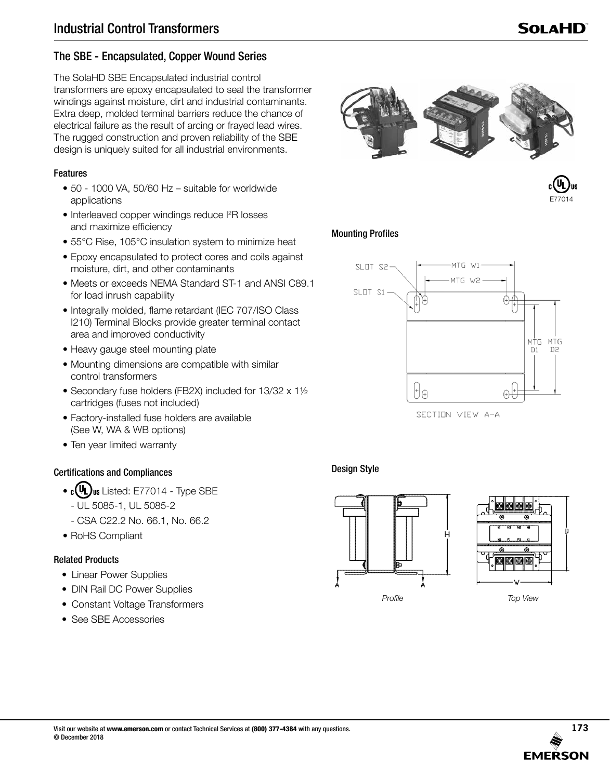# The SBE - Encapsulated, Copper Wound Series

The SolaHD SBE Encapsulated industrial control transformers are epoxy encapsulated to seal the transformer windings against moisture, dirt and industrial contaminants. Extra deep, molded terminal barriers reduce the chance of electrical failure as the result of arcing or frayed lead wires. The rugged construction and proven reliability of the SBE design is uniquely suited for all industrial environments.

### Features

- 50 1000 VA, 50/60 Hz suitable for worldwide applications
- Interleaved copper windings reduce I<sup>2</sup>R losses and maximize efficiency
- 55°C Rise, 105°C insulation system to minimize heat
- Epoxy encapsulated to protect cores and coils against moisture, dirt, and other contaminants
- Meets or exceeds NEMA Standard ST-1 and ANSI C89.1 for load inrush capability
- Integrally molded, flame retardant (IEC 707/ISO Class I210) Terminal Blocks provide greater terminal contact area and improved conductivity
- Heavy gauge steel mounting plate
- Mounting dimensions are compatible with similar control transformers
- Secondary fuse holders (FB2X) included for 13/32 x 1½ cartridges (fuses not included)
- Factory-installed fuse holders are available (See W, WA & WB options)
- Ten year limited warranty

## Certifications and Compliances

- $\cdot$  c(UL) us Listed: E77014 Type SBE
	- UL 5085-1, UL 5085-2
	- CSA C22.2 No. 66.1, No. 66.2
- RoHS Compliant

## Related Products

- Linear Power Supplies
- DIN Rail DC Power Supplies
- Constant Voltage Transformers
- See SBE Accessories





# Mounting Profiles



SECTION VIEW A-A

# Design Style





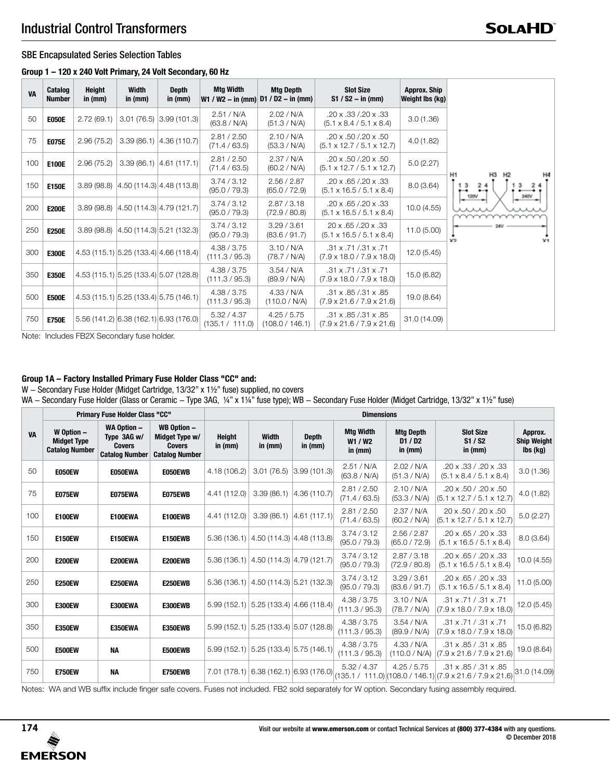#### SBE Encapsulated Series Selection Tables

#### **Group 1 – 120 x 240 Volt Primary, 24 Volt Secondary, 60 Hz**

| <b>VA</b> | Catalog<br><b>Number</b> | Height<br>in $(mm)$ | Width<br>in $(mm)$ | <b>Depth</b><br>in $(mm)$               | <b>Mtg Width</b>               | <b>Mtg Depth</b><br>$W1 / W2 - in (mm)$ D1 / D2 - in (mm) | <b>Slot Size</b><br>$S1 / S2 - in (mm)$                                    | <b>Approx. Ship</b><br>Weight Ibs (kg) |                                    |
|-----------|--------------------------|---------------------|--------------------|-----------------------------------------|--------------------------------|-----------------------------------------------------------|----------------------------------------------------------------------------|----------------------------------------|------------------------------------|
| 50        | <b>E050E</b>             | 2.72(69.1)          |                    | $3.01(76.5)$ $3.99(101.3)$              | 2.51 / N/A<br>(63.8 / N/A)     | 2.02 / N/A<br>(51.3 / N/A)                                | $.20 \times .33 / .20 \times .33$<br>$(5.1 \times 8.4 / 5.1 \times 8.4)$   | 3.0(1.36)                              |                                    |
| 75        | <b>E075E</b>             | 2.96(75.2)          |                    | $3.39(86.1)$ 4.36 (110.7)               | 2.81 / 2.50<br>(71.4 / 63.5)   | 2.10 / N/A<br>(53.3 / N/A)                                | .20 x .50 /.20 x .50<br>$(5.1 \times 12.7 / 5.1 \times 12.7)$              | 4.0(1.82)                              |                                    |
| 100       | <b>E100E</b>             | 2.96(75.2)          |                    | $3.39(86.1)$ 4.61 (117.1)               | 2.81 / 2.50<br>(71.4 / 63.5)   | 2.37 / N/A<br>(60.2 / N/A)                                | .20 x .50 /.20 x .50<br>$(5.1 \times 12.7 / 5.1 \times 12.7)$              | 5.0(2.27)                              |                                    |
| 150       | <b>E150E</b>             |                     |                    | $3.89(98.8)$ $ 4.50(114.3) 4.48(113.8)$ | 3.74 / 3.12<br>(95.0 / 79.3)   | 2.56 / 2.87<br>(65.0 / 72.9)                              | .20 x .65 /.20 x .33<br>$(5.1 \times 16.5 / 5.1 \times 8.4)$               | 8.0(3.64)                              | H <sub>1</sub><br>3<br><b>120V</b> |
| 200       | <b>E200E</b>             |                     |                    | $3.89(98.8)$ $ 4.50(114.3) 4.79(121.7)$ | 3.74 / 3.12<br>(95.0 / 79.3)   | 2.87 / 3.18<br>(72.9 / 80.8)                              | $.20 \times .65 / .20 \times .33$<br>$(5.1 \times 16.5 / 5.1 \times 8.4)$  | 10.0(4.55)                             |                                    |
| 250       | <b>E250E</b>             |                     |                    | $3.89(98.8)$ $ 4.50(114.3) 5.21(132.3)$ | 3.74 / 3.12<br>(95.0 / 79.3)   | 3.29 / 3.61<br>(83.6 / 91.7)                              | 20 x .65 /.20 x .33<br>$(5.1 \times 16.5 / 5.1 \times 8.4)$                | 11.0(5.00)                             | x2<br>X1                           |
| 300       | <b>E300E</b>             |                     |                    | 4.53 (115.1) 5.25 (133.4) 4.66 (118.4)  | 4.38 / 3.75<br>(111.3 / 95.3)  | 3.10 / N/A<br>(78.7 / N/A)                                | $.31 \times .71 / .31 \times .71$<br>$(7.9 \times 18.0 / 7.9 \times 18.0)$ | 12.0(5.45)                             |                                    |
| 350       | <b>E350E</b>             |                     |                    | 4.53 (115.1) 5.25 (133.4) 5.07 (128.8)  | 4.38 / 3.75<br>(111.3 / 95.3)  | 3.54 / N/A<br>(89.9 / N/A)                                | .31 x .71 /.31 x .71<br>$(7.9 \times 18.0 / 7.9 \times 18.0)$              | 15.0 (6.82)                            |                                    |
| 500       | <b>E500E</b>             |                     |                    | 4.53 (115.1) 5.25 (133.4) 5.75 (146.1)  | 4.38 / 3.75<br>(111.3 / 95.3)  | 4.33 / N/A<br>(110.0 / N/A)                               | .31 x .85 /.31 x .85<br>$(7.9 \times 21.6 / 7.9 \times 21.6)$              | 19.0 (8.64)                            |                                    |
| 750       | <b>E750E</b>             |                     |                    | 5.56 (141.2) 6.38 (162.1) 6.93 (176.0)  | 5.32 / 4.37<br>(135.1 / 111.0) | 4.25 / 5.75<br>(108.0 / 146.1)                            | .31 x .85 /.31 x .85<br>$(7.9 \times 21.6 / 7.9 \times 21.6)$              | 31.0 (14.09)                           |                                    |

Note: Includes FB2X Secondary fuse holder.

#### **Group 1A – Factory Installed Primary Fuse Holder Class "CC" and:**

W - Secondary Fuse Holder (Midget Cartridge, 13/32" x 1½" fuse) supplied, no covers WA - Secondary Fuse Holder (Glass or Ceramic - Type 3AG, ¼" x 1¼" fuse type); WB - Secondary Fuse Holder (Midget Cartridge, 13/32" x 1½" fuse)

|           |                                                           | Primary Fuse Holder Class "CC"                                              |                                                                                | <b>Dimensions</b>   |                                           |                           |                                          |                                      |                                                                                                    |                                           |  |  |  |
|-----------|-----------------------------------------------------------|-----------------------------------------------------------------------------|--------------------------------------------------------------------------------|---------------------|-------------------------------------------|---------------------------|------------------------------------------|--------------------------------------|----------------------------------------------------------------------------------------------------|-------------------------------------------|--|--|--|
| <b>VA</b> | W Option -<br><b>Midget Type</b><br><b>Catalog Number</b> | <b>WA Option -</b><br>Type 3AG w/<br><b>Covers</b><br><b>Catalog Number</b> | <b>WB Option -</b><br>Midget Type w/<br><b>Covers</b><br><b>Catalog Number</b> | Height<br>in $(mm)$ | <b>Width</b><br>in (mm)                   | <b>Depth</b><br>in $(mm)$ | <b>Mtg Width</b><br>W1 / W2<br>in $(mm)$ | <b>Mtg Depth</b><br>D1/D2<br>in (mm) | <b>Slot Size</b><br>S1 / S2<br>in $(mm)$                                                           | Approx.<br><b>Ship Weight</b><br>lbs (kg) |  |  |  |
| 50        | <b>E050EW</b>                                             | E050EWA                                                                     | E050EWB                                                                        | 4.18 (106.2)        | 3.01(76.5)                                | 3.99(101.3)               | 2.51 / N/A<br>(63.8 / N/A)               | 2.02 / N/A<br>(51.3 / N/A)           | .20 x .33 / .20 x .33<br>$(5.1 \times 8.4 / 5.1 \times 8.4)$                                       | 3.0(1.36)                                 |  |  |  |
| 75        | <b>E075EW</b>                                             | E075EWA                                                                     | E075EWB                                                                        | 4.41 (112.0)        | 3.39(86.1)                                | 4.36(110.7)               | 2.81 / 2.50<br>(71.4 / 63.5)             | 2.10 / N/A<br>(53.3 / N/A)           | $.20 \times .50 / .20 \times .50$<br>$(5.1 \times 12.7 / 5.1 \times 12.7)$                         | 4.0 (1.82)                                |  |  |  |
| 100       | <b>E100EW</b>                                             | E100EWA                                                                     | E100EWB                                                                        | 4.41 (112.0)        | 3.39(86.1)                                | 4.61(117.1)               | 2.81 / 2.50<br>(71.4 / 63.5)             | 2.37 / N/A<br>(60.2 / N/A)           | 20 x .50 / .20 x .50<br>$(5.1 \times 12.7 / 5.1 \times 12.7)$                                      | 5.0(2.27)                                 |  |  |  |
| 150       | <b>E150EW</b>                                             | E150EWA                                                                     | <b>E150EWB</b>                                                                 |                     | $5.36(136.1)$ 4.50 (114.3) 4.48 (113.8)   |                           | 3.74 / 3.12<br>(95.0 / 79.3)             | 2.56 / 2.87<br>(65.0 / 72.9)         | .20 x .65 / .20 x .33<br>$(5.1 \times 16.5 / 5.1 \times 8.4)$                                      | 8.0 (3.64)                                |  |  |  |
| 200       | <b>E200EW</b>                                             | E200EWA                                                                     | E200EWB                                                                        |                     | $5.36(136.1)$ 4.50 (114.3) 4.79 (121.7)   |                           | 3.74 / 3.12<br>(95.0 / 79.3)             | 2.87 / 3.18<br>(72.9 / 80.8)         | .20 x .65 / .20 x .33<br>$(5.1 \times 16.5 / 5.1 \times 8.4)$                                      | 10.0(4.55)                                |  |  |  |
| 250       | <b>E250EW</b>                                             | E250EWA                                                                     | <b>E250EWB</b>                                                                 |                     | $5.36(136.1)$ 4.50 (114.3) 5.21 (132.3)   |                           | 3.74 / 3.12<br>(95.0 / 79.3)             | 3.29/3.61<br>(83.6 / 91.7)           | .20 x .65 / .20 x .33<br>$(5.1 \times 16.5 / 5.1 \times 8.4)$                                      | 11.0(5.00)                                |  |  |  |
| 300       | <b>E300EW</b>                                             | E300EWA                                                                     | E300EWB                                                                        |                     | 5.99 (152.1) 5.25 (133.4) 4.66 (118.4)    |                           | 4.38 / 3.75<br>(111.3 / 95.3)            | 3.10 / N/A<br>(78.7 / N/A)           | $.31 \times .71 / .31 \times .71$<br>$(7.9 \times 18.0 / 7.9 \times 18.0)$                         | 12.0 (5.45)                               |  |  |  |
| 350       | <b>E350EW</b>                                             | E350EWA                                                                     | E350EWB                                                                        |                     | $5.99(152.1)$ 5.25 (133.4) 5.07 (128.8)   |                           | 4.38 / 3.75<br>(111.3 / 95.3)            | 3.54 / N/A<br>(89.9 / N/A)           | $.31 \times .71 / .31 \times .71$<br>$(7.9 \times 18.0 / 7.9 \times 18.0)$                         | 15.0 (6.82)                               |  |  |  |
| 500       | <b>E500EW</b>                                             | <b>NA</b>                                                                   | E500EWB                                                                        |                     | $5.99(152.1)$ $5.25(133.4)$ $5.75(146.1)$ |                           | 4.38 / 3.75<br>(111.3 / 95.3)            | 4.33 / N/A<br>(110.0 / N/A)          | .31 x .85 / .31 x .85<br>$(7.9 \times 21.6 / 7.9 \times 21.6)$                                     | 19.0 (8.64)                               |  |  |  |
| 750       | <b>E750EW</b>                                             | <b>NA</b>                                                                   | <b>E750EWB</b>                                                                 |                     | 7.01 (178.1) 6.38 (162.1) 6.93 (176.0)    |                           | 5.32 / 4.37                              | 4.25 / 5.75                          | .31 x .85 / .31 x .85<br>$(135.1 / 111.0)$ $(108.0 / 146.1)$ $(7.9 \times 21.6 / 7.9 \times 21.6)$ | 31.0 (14.09)                              |  |  |  |

Notes: WA and WB suffix include finger safe covers. Fuses not included. FB2 sold separately for W option. Secondary fusing assembly required.

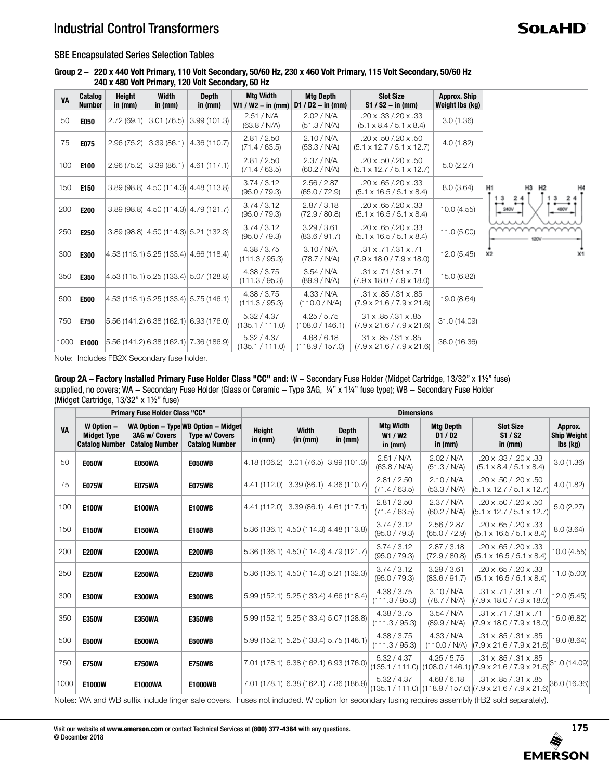#### SBE Encapsulated Series Selection Tables

**Group 2 – 220 x 440 Volt Primary, 110 Volt Secondary, 50/60 Hz, 230 x 460 Volt Primary, 115 Volt Secondary, 50/60 Hz 240 x 480 Volt Primary, 120 Volt Secondary, 60 Hz**

| VA   | Catalog<br><b>Number</b> | <b>Height</b><br>in (mm) | Width<br>in $(mm)$ | <b>Depth</b><br>in (mm)                   | <b>Mtg Width</b><br>$W1 / W2 - in (mm)$ | <b>Mtg Depth</b><br>$D1 / D2 - in (mm)$ | <b>Slot Size</b><br>$S1 / S2 - in (mm)$                                      | <b>Approx. Ship</b><br>Weight lbs (kg) |              |
|------|--------------------------|--------------------------|--------------------|-------------------------------------------|-----------------------------------------|-----------------------------------------|------------------------------------------------------------------------------|----------------------------------------|--------------|
| 50   | E050                     | 2.72(69.1)               | 3.01(76.5)         | 3.99(101.3)                               | 2.51 / N/A<br>(63.8 / N/A)              | 2.02 / N/A<br>(51.3 / N/A)              | .20 x .33 /.20 x .33<br>$(5.1 \times 8.4 / 5.1 \times 8.4)$                  | 3.0(1.36)                              |              |
| 75   | E075                     | 2.96(75.2)               | 3.39(86.1)         | 4.36 (110.7)                              | 2.81 / 2.50<br>(71.4 / 63.5)            | 2.10 / N/A<br>(53.3 / N/A)              | .20 x .50 /.20 x .50<br>$(5.1 \times 12.7 / 5.1 \times 12.7)$                | 4.0(1.82)                              |              |
| 100  | E100                     | 2.96(75.2)               | 3.39(86.1)         | 4.61(117.1)                               | 2.81 / 2.50<br>(71.4 / 63.5)            | 2.37 / N/A<br>(60.2 / N/A)              | .20 x .50 /.20 x .50<br>$(5.1 \times 12.7 / 5.1 \times 12.7)$                | 5.0(2.27)                              |              |
| 150  | E150                     |                          |                    | $3.89(98.8)$ $ 4.50(114.3) $ 4.48 (113.8) | 3.74 / 3.12<br>(95.0 / 79.3)            | 2.56 / 2.87<br>(65.0 / 72.9)            | $.20 \times 0.65 / 0.20 \times 0.33$<br>$(5.1 \times 16.5 / 5.1 \times 8.4)$ | 8.0(3.64)                              | H1<br>-3     |
| 200  | E200                     |                          |                    | $3.89(98.8)$ $ 4.50(114.3) $ 4.79 (121.7) | 3.74 / 3.12<br>(95.0 / 79.3)            | 2.87 / 3.18<br>(72.9 / 80.8)            | .20 x .65 /.20 x .33<br>$(5.1 \times 16.5 / 5.1 \times 8.4)$                 | 10.0(4.55)                             | 240V<br>480V |
| 250  | E250                     |                          |                    | $3.89(98.8)$ $ 4.50(114.3) $ 5.21 (132.3) | 3.74 / 3.12<br>(95.0 / 79.3)            | 3.29 / 3.61<br>(83.6 / 91.7)            | $.20 \times .65 / .20 \times .33$<br>$(5.1 \times 16.5 / 5.1 \times 8.4)$    | 11.0(5.00)                             |              |
| 300  | E300                     |                          |                    | 4.53(115.1) 5.25(133.4) 4.66(118.4)       | 4.38 / 3.75<br>(111.3 / 95.3)           | 3.10 / N/A<br>(78.7 / N/A)              | .31 x .71 /.31 x .71<br>$(7.9 \times 18.0 / 7.9 \times 18.0)$                | 12.0(5.45)                             | x2<br>X1     |
| 350  | E350                     |                          |                    | 4.53(115.1) 5.25(133.4) 5.07(128.8)       | 4.38 / 3.75<br>(111.3 / 95.3)           | 3.54 / N/A<br>(89.9 / N/A)              | $.31 \times .71 / .31 \times .71$<br>$(7.9 \times 18.0 / 7.9 \times 18.0)$   | 15.0 (6.82)                            |              |
| 500  | <b>E500</b>              |                          |                    | 4.53(115.1) 5.25(133.4) 5.75(146.1)       | 4.38 / 3.75<br>(111.3 / 95.3)           | 4.33 / N/A<br>(110.0 / N/A)             | .31 x .85 /.31 x .85<br>$(7.9 \times 21.6 / 7.9 \times 21.6)$                | 19.0 (8.64)                            |              |
| 750  | E750                     |                          |                    | 5.56(141.2) 6.38(162.1) 6.93(176.0)       | 5.32 / 4.37<br>(135.1 / 111.0)          | 4.25 / 5.75<br>(108.0 / 146.1)          | 31 x .85 / .31 x .85<br>$(7.9 \times 21.6 / 7.9 \times 21.6)$                | 31.0 (14.09)                           |              |
| 1000 | E1000                    |                          |                    | 5.56(141.2) 6.38(162.1) 7.36(186.9)       | 5.32 / 4.37<br>(135.1 / 111.0)          | 4.68 / 6.18<br>(118.9 / 157.0)          | 31 x .85 / .31 x .85<br>$(7.9 \times 21.6 / 7.9 \times 21.6)$                | 36.0 (16.36)                           |              |

Note: Includes FB2X Secondary fuse holder.

**Group 2A – Factory Installed Primary Fuse Holder Class "CC" and:** W - Secondary Fuse Holder (Midget Cartridge, 13/32" x 1½" fuse) supplied, no covers; WA - Secondary Fuse Holder (Glass or Ceramic - Type 3AG, ¼" x 1¼" fuse type); WB - Secondary Fuse Holder (Midget Cartridge, 13/32" x 1½" fuse)

|           | <b>Primary Fuse Holder Class "CC"</b>                     |                                               |                                                                                       | <b>Dimensions</b>   |                           |                                            |                                          |                                        |                                                                                       |                                           |  |  |
|-----------|-----------------------------------------------------------|-----------------------------------------------|---------------------------------------------------------------------------------------|---------------------|---------------------------|--------------------------------------------|------------------------------------------|----------------------------------------|---------------------------------------------------------------------------------------|-------------------------------------------|--|--|
| <b>VA</b> | W Option -<br><b>Midget Type</b><br><b>Catalog Number</b> | <b>3AG w/ Covers</b><br><b>Catalog Number</b> | WA Option - Type WB Option - Midget<br><b>Type w/ Covers</b><br><b>Catalog Number</b> | Height<br>in $(mm)$ | <b>Width</b><br>(in (mm)) | <b>Depth</b><br>in $(mm)$                  | <b>Mtg Width</b><br>W1 / W2<br>in $(mm)$ | <b>Mtg Depth</b><br>D1/D2<br>in $(mm)$ | <b>Slot Size</b><br>S1 / S2<br>in $(mm)$                                              | Approx.<br><b>Ship Weight</b><br>lbs (kg) |  |  |
| 50        | <b>E050W</b>                                              | E050WA                                        | <b>E050WB</b>                                                                         | 4.18 (106.2)        |                           | $3.01(76.5)$ 3.99 (101.3)                  | 2.51 / N/A<br>(63.8 / N/A)               | 2.02 / N/A<br>(51.3 / N/A)             | .20 x .33 / .20 x .33<br>$(5.1 \times 8.4 / 5.1 \times 8.4)$                          | 3.0(1.36)                                 |  |  |
| 75        | <b>E075W</b>                                              | <b>E075WA</b>                                 | <b>E075WB</b>                                                                         |                     |                           | $4.41(112.0)$ 3.39 (86.1) 4.36 (110.7)     | 2.81 / 2.50<br>(71.4 / 63.5)             | 2.10 / N/A<br>(53.3 / N/A)             | .20 x .50 / .20 x .50<br>$(5.1 \times 12.7 / 5.1 \times 12.7)$                        | 4.0(1.82)                                 |  |  |
| 100       | <b>E100W</b>                                              | <b>E100WA</b>                                 | <b>E100WB</b>                                                                         |                     |                           | $4.41(112.0)$ 3.39 (86.1) 4.61 (117.1)     | 2.81 / 2.50<br>(71.4 / 63.5)             | 2.37 / N/A<br>(60.2 / N/A)             | .20 x .50 / .20 x .50<br>$(5.1 \times 12.7 / 5.1 \times 12.7)$                        | 5.0(2.27)                                 |  |  |
| 150       | <b>E150W</b>                                              | <b>E150WA</b>                                 | <b>E150WB</b>                                                                         |                     |                           | $5.36(136.1)$ $ 4.50(114.3) $ 4.48 (113.8) | 3.74 / 3.12<br>(95.0 / 79.3)             | 2.56 / 2.87<br>(65.0 / 72.9)           | .20 x .65 / .20 x .33<br>$(5.1 \times 16.5 / 5.1 \times 8.4)$                         | 8.0 (3.64)                                |  |  |
| 200       | <b>E200W</b>                                              | <b>E200WA</b>                                 | <b>E200WB</b>                                                                         |                     |                           | 5.36(136.1) 4.50(114.3) 4.79(121.7)        | 3.74 / 3.12<br>(95.0 / 79.3)             | 2.87 / 3.18<br>(72.9 / 80.8)           | .20 x .65 / .20 x .33<br>$(5.1 \times 16.5 / 5.1 \times 8.4)$                         | 10.0 (4.55)                               |  |  |
| 250       | <b>E250W</b>                                              | <b>E250WA</b>                                 | <b>E250WB</b>                                                                         |                     |                           | $5.36(136.1)$ $ 4.50(114.3) 5.21(132.3)$   | 3.74 / 3.12<br>(95.0 / 79.3)             | 3.29 / 3.61<br>(83.6 / 91.7)           | .20 x .65 / .20 x .33<br>$(5.1 \times 16.5 / 5.1 \times 8.4)$                         | 11.0(5.00)                                |  |  |
| 300       | <b>E300W</b>                                              | E300WA                                        | <b>E300WB</b>                                                                         |                     |                           | $5.99(152.1)$ $5.25(133.4)$ 4.66 (118.4)   | 4.38 / 3.75<br>(111.3 / 95.3)            | 3.10 / N/A<br>(78.7 / N/A)             | .31 x .71 / .31 x .71<br>$(7.9 \times 18.0 / 7.9 \times 18.0)$                        | 12.0(5.45)                                |  |  |
| 350       | <b>E350W</b>                                              | <b>E350WA</b>                                 | <b>E350WB</b>                                                                         |                     |                           | 5.99 (152.1) 5.25 (133.4) 5.07 (128.8)     | 4.38 / 3.75<br>(111.3 / 95.3)            | 3.54 / N/A<br>(89.9 / N/A)             | $.31 \times .71 / .31 \times .71$<br>$(7.9 \times 18.0 / 7.9 \times 18.0)$            | 15.0 (6.82)                               |  |  |
| 500       | <b>E500W</b>                                              | E500WA                                        | <b>E500WB</b>                                                                         |                     |                           | $5.99(152.1)$ $5.25(133.4)$ $5.75(146.1)$  | 4.38 / 3.75<br>(111.3 / 95.3)            | 4.33 / N/A<br>(110.0 / N/A)            | .31 x .85 / .31 x .85<br>$(7.9 \times 21.6 / 7.9 \times 21.6)$                        | 19.0 (8.64)                               |  |  |
| 750       | <b>E750W</b>                                              | <b>E750WA</b>                                 | <b>E750WB</b>                                                                         |                     |                           | 7.01 (178.1) 6.38 (162.1) 6.93 (176.0)     | 5.32 / 4.37<br>(135.1 / 111.0)           | 4.25 / 5.75                            | .31 x .85 / .31 x .85<br>$(108.0 / 146.1)$ (7.9 x 21.6 / 7.9 x 21.6)                  | 31.0(14.09)                               |  |  |
| 1000      | E1000W                                                    | <b>E1000WA</b>                                | <b>E1000WB</b>                                                                        |                     |                           | 7.01 (178.1) 6.38 (162.1) 7.36 (186.9)     | 5.32 / 4.37                              | 4.68 / 6.18                            | .31 x .85 / .31 x .85<br>(135.1 / 111.0)   (118.9 / 157.0)  (7.9 x 21.6 / 7.9 x 21.6) | 36.0 (16.36)                              |  |  |

Notes: WA and WB suffix include finger safe covers. Fuses not included. W option for secondary fusing requires assembly (FB2 sold separately).

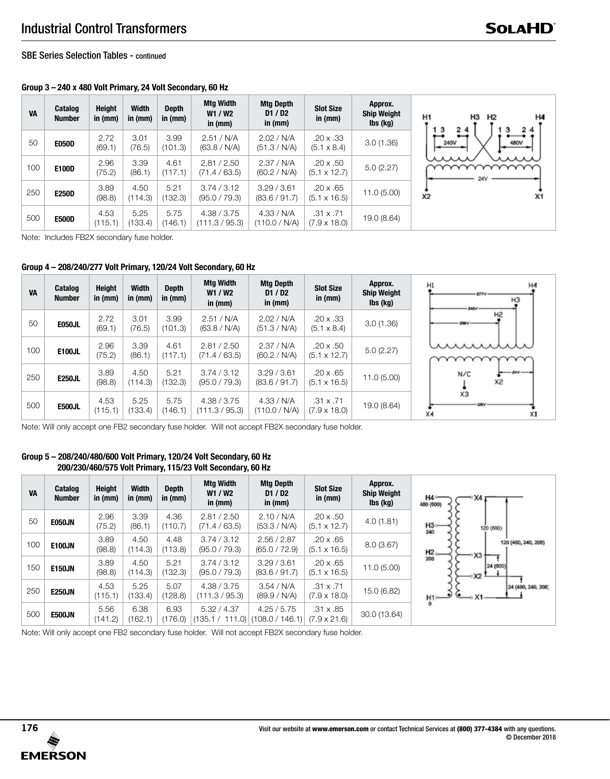SBE Series Selection Tables - continued

# **Group 3 – 240 x 480 Volt Primary, 24 Volt Secondary, 60 Hz**

| <b>VA</b> | <b>Catalog</b><br><b>Number</b> | <b>Height</b><br>in $(mm)$ | <b>Width</b><br>in $(mm)$ | <b>Depth</b><br>in $(mm)$ | Mtg Width<br>W1 / W2<br>in $(mm)$ | <b>Mtg Depth</b><br>D1/D2<br>in (mm) | <b>Slot Size</b><br>in $(mm)$           | Approx.<br><b>Ship Weight</b><br>$\mathsf{lbs}(\mathsf{kg})$ |
|-----------|---------------------------------|----------------------------|---------------------------|---------------------------|-----------------------------------|--------------------------------------|-----------------------------------------|--------------------------------------------------------------|
| 50        | <b>E050D</b>                    | 2.72<br>(69.1)             | 3.01<br>(76.5)            | 3.99<br>(101.3)           | 2.51 / N/A<br>(63.8 / N/A)        | 2.02 / N/A<br>(51.3 / N/A)           | $.20 \times .33$<br>$(5.1 \times 8.4)$  | 3.0(1.36)                                                    |
| 100       | E100D                           | 2.96<br>(75.2)             | 3.39<br>(86.1)            | 4.61<br>(117.1)           | 2.81 / 2.50<br>(71.4 / 63.5)      | 2.37 / N/A<br>(60.2 / N/A)           | $.20 \times .50$<br>$(5.1 \times 12.7)$ | 5.0(2.27)                                                    |
| 250       | <b>E250D</b>                    | 3.89<br>(98.8)             | 4.50<br>(114.3)           | 5.21<br>(132.3)           | 3.74 / 3.12<br>(95.0 / 79.3)      | 3.29 / 3.61<br>(83.6 / 91.7)         | $.20 \times .65$<br>$(5.1 \times 16.5)$ | 11.0(5.00)                                                   |
| 500       | <b>E500D</b>                    | 4.53<br>(115.1)            | 5.25<br>(133.4)           | 5.75<br>(146.1)           | 4.38 / 3.75<br>(111.3 / 95.3)     | 4.33 / N/A<br>(110.0 / N/A)          | $.31 \times .71$<br>$(7.9 \times 18.0)$ | 19.0 (8.64)                                                  |

Note: Includes FB2X secondary fuse holder.

## **Group 4 – 208/240/277 Volt Primary, 120/24 Volt Secondary, 60 Hz**

| <b>VA</b> | Catalog<br><b>Number</b> | <b>Height</b><br>in $(mm)$ | <b>Width</b><br>in $(mm)$ | <b>Depth</b><br>in $(mm)$ | Mtg Width<br>W1 / W2<br>in (mm) | <b>Mtg Depth</b><br>D1/D2<br>in (mm) | <b>Slot Size</b><br>in (mm)             | Approx.<br><b>Ship Weight</b><br>lbs (kg) | H4<br>H1<br>$-277V$<br>H <sub>3</sub><br><b>JMBV</b> |
|-----------|--------------------------|----------------------------|---------------------------|---------------------------|---------------------------------|--------------------------------------|-----------------------------------------|-------------------------------------------|------------------------------------------------------|
| 50        | E050JL                   | 2.72<br>(69.1)             | 3.01<br>(76.5)            | 3.99<br>(101.3)           | 2.51 / N/A<br>(63.8 / N/A)      | 2.02 / N/A<br>(51.3 / N/A)           | $.20 \times .33$<br>$(5.1 \times 8.4)$  | 3.0(1.36)                                 | H <sub>2</sub><br>200V                               |
| 100       | <b>E100JL</b>            | 2.96<br>(75.2)             | 3.39<br>(86.1)            | 4.61<br>(117.1)           | 2.81 / 2.50<br>(71.4 / 63.5)    | 2.37 / N/A<br>(60.2 / N/A)           | $.20 \times .50$<br>$(5.1 \times 12.7)$ | 5.0(2.27)                                 | uuun                                                 |
| 250       | <b>E250JL</b>            | 3.89<br>(98.8)             | 4.50<br>(114.3)           | 5.21<br>(132.3)           | 3.74 / 3.12<br>(95.0 / 79.3)    | 3.29 / 3.61<br>(83.6 / 91.7)         | $.20 \times .65$<br>$(5.1 \times 16.5)$ | 11.0(5.00)                                | $-14V$<br>N/C<br>x2                                  |
| 500       | <b>E500JL</b>            | 4.53<br>(115.1)            | 5.25<br>(133.4)           | 5.75<br>(146.1)           | 4.38 / 3.75<br>(111.3 / 95.3)   | 4.33 / N/A<br>(110.0 / N/A)          | $.31 \times .71$<br>$(7.9 \times 18.0)$ | 19.0 (8.64)                               | XЗ<br><b>Little</b><br>$\times1$<br>X4               |

Note: Will only accept one FB2 secondary fuse holder. Will not accept FB2X secondary fuse holder.

### **Group 5 – 208/240/480/600 Volt Primary, 120/24 Volt Secondary, 60 Hz 200/230/460/575 Volt Primary, 115/23 Volt Secondary, 60 Hz**

| <b>VA</b> | Catalog<br><b>Number</b> | Height<br>in $(mm)$ | <b>Width</b><br>in $(mm)$ | <b>Depth</b><br>in (mm) | <b>Mtg Width</b><br>W1 / W2<br>in $(mm)$ | <b>Mtg Depth</b><br>D1/D2<br>in (mm) | <b>Slot Size</b><br>in (mm)             | Approx.<br><b>Ship Weight</b><br>$\mathsf{lbs}(\mathsf{k}\mathsf{g})$ | н4∘-<br>$\times$ 4<br>480 (600)               |
|-----------|--------------------------|---------------------|---------------------------|-------------------------|------------------------------------------|--------------------------------------|-----------------------------------------|-----------------------------------------------------------------------|-----------------------------------------------|
| 50        | <b>E050JN</b>            | 2.96<br>(75.2)      | 3.39<br>(86.1)            | 4.36<br>(110.7)         | 2.81 / 2.50<br>(71.4 / 63.5)             | 2.10 / N/A<br>(53.3 / N/A)           | $.20 \times .50$<br>$(5.1 \times 12.7)$ | 4.0(1.81)                                                             | H3-<br>240<br>120 (600)                       |
| 100       | <b>E100JN</b>            | 3.89<br>(98.8)      | 4.50<br>(114.3)           | 4.48<br>(113.8)         | 3.74 / 3.12<br>(95.0 / 79.3)             | 2.56 / 2.87<br>(65.0 / 72.9)         | $.20 \times .65$<br>$(5.1 \times 16.5)$ | 8.0(3.67)                                                             | 120 (480, 240, 208)<br>$H2_{\infty}$<br>$x_3$ |
| 150       | <b>E150JN</b>            | 3.89<br>(98.8)      | 4.50<br>(114.3)           | 5.21<br>(132.3)         | 3.74 / 3.12<br>(95.0 / 79.3)             | 3.29/3.61<br>(83.6 / 91.7)           | $.20 \times .65$<br>$(5.1 \times 16.5)$ | 11.0(5.00)                                                            | 208<br>24 (600)<br>∘X2 -                      |
| 250       | <b>E250JN</b>            | 4.53<br>(115.1)     | 5.25<br>(133.4)           | 5.07<br>(128.8)         | 4.38 / 3.75<br>(111.3 / 95.3)            | 3.54 / N/A<br>(89.9 / N/A)           | $.31 \times .71$<br>$(7.9 \times 18.0)$ | 15.0 (6.82)                                                           | 24 (480, 240, 208)<br>н1—•                    |
| 500       | <b>E500JN</b>            | 5.56<br>(141.2)     | 6.38<br>(162.1)           | 6.93<br>(176.0)         | 5.32 / 4.37<br>(135.1 / 111.0)           | 4.25 / 5.75<br>(108.0 / 146.1)       | $.31 \times .85$<br>$(7.9 \times 21.6)$ | 30.0 (13.64)                                                          |                                               |

Note: Will only accept one FB2 secondary fuse holder. Will not accept FB2X secondary fuse holder.